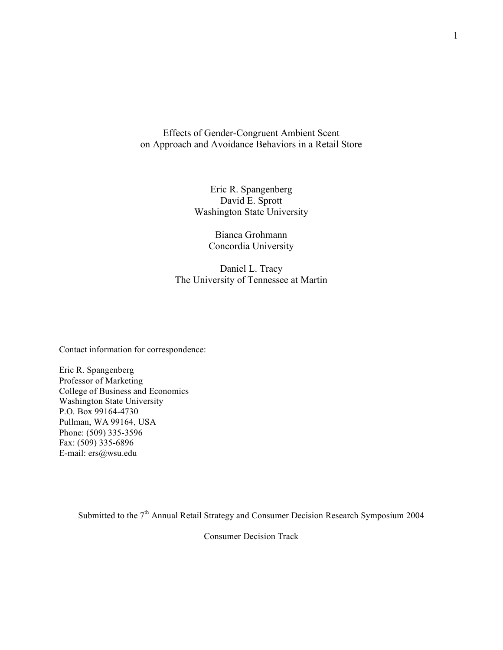Effects of Gender-Congruent Ambient Scent on Approach and Avoidance Behaviors in a Retail Store

> Eric R. Spangenberg David E. Sprott Washington State University

> > Bianca Grohmann Concordia University

Daniel L. Tracy The University of Tennessee at Martin

Contact information for correspondence:

Eric R. Spangenberg Professor of Marketing College of Business and Economics Washington State University P.O. Box 99164-4730 Pullman, WA 99164, USA Phone: (509) 335-3596 Fax: (509) 335-6896 E-mail: ers@wsu.edu

Submitted to the 7<sup>th</sup> Annual Retail Strategy and Consumer Decision Research Symposium 2004

Consumer Decision Track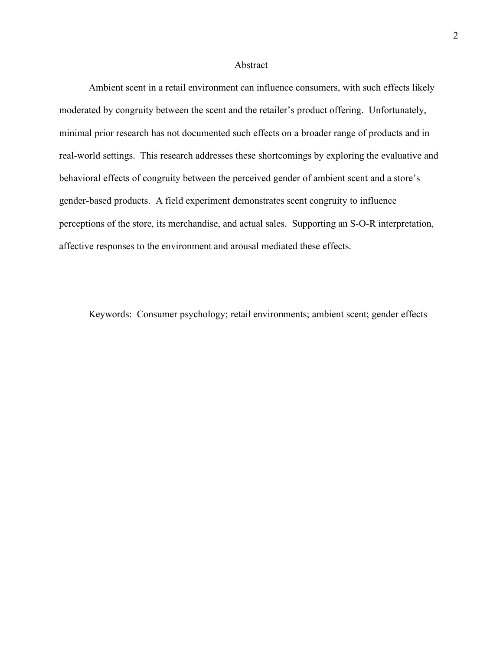### Abstract

Ambient scent in a retail environment can influence consumers, with such effects likely moderated by congruity between the scent and the retailer's product offering. Unfortunately, minimal prior research has not documented such effects on a broader range of products and in real-world settings. This research addresses these shortcomings by exploring the evaluative and behavioral effects of congruity between the perceived gender of ambient scent and a store's gender-based products. A field experiment demonstrates scent congruity to influence perceptions of the store, its merchandise, and actual sales. Supporting an S-O-R interpretation, affective responses to the environment and arousal mediated these effects.

Keywords: Consumer psychology; retail environments; ambient scent; gender effects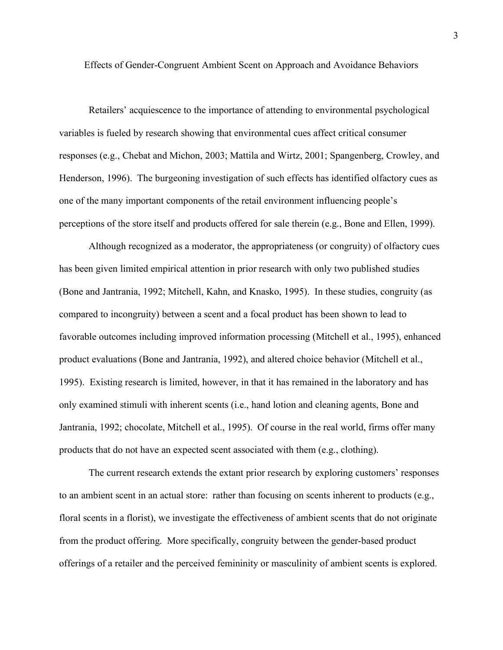Effects of Gender-Congruent Ambient Scent on Approach and Avoidance Behaviors

Retailers' acquiescence to the importance of attending to environmental psychological variables is fueled by research showing that environmental cues affect critical consumer responses (e.g., Chebat and Michon, 2003; Mattila and Wirtz, 2001; Spangenberg, Crowley, and Henderson, 1996). The burgeoning investigation of such effects has identified olfactory cues as one of the many important components of the retail environment influencing people's perceptions of the store itself and products offered for sale therein (e.g., Bone and Ellen, 1999).

Although recognized as a moderator, the appropriateness (or congruity) of olfactory cues has been given limited empirical attention in prior research with only two published studies (Bone and Jantrania, 1992; Mitchell, Kahn, and Knasko, 1995). In these studies, congruity (as compared to incongruity) between a scent and a focal product has been shown to lead to favorable outcomes including improved information processing (Mitchell et al., 1995), enhanced product evaluations (Bone and Jantrania, 1992), and altered choice behavior (Mitchell et al., 1995). Existing research is limited, however, in that it has remained in the laboratory and has only examined stimuli with inherent scents (i.e., hand lotion and cleaning agents, Bone and Jantrania, 1992; chocolate, Mitchell et al., 1995). Of course in the real world, firms offer many products that do not have an expected scent associated with them (e.g., clothing).

The current research extends the extant prior research by exploring customers' responses to an ambient scent in an actual store: rather than focusing on scents inherent to products (e.g., floral scents in a florist), we investigate the effectiveness of ambient scents that do not originate from the product offering. More specifically, congruity between the gender-based product offerings of a retailer and the perceived femininity or masculinity of ambient scents is explored.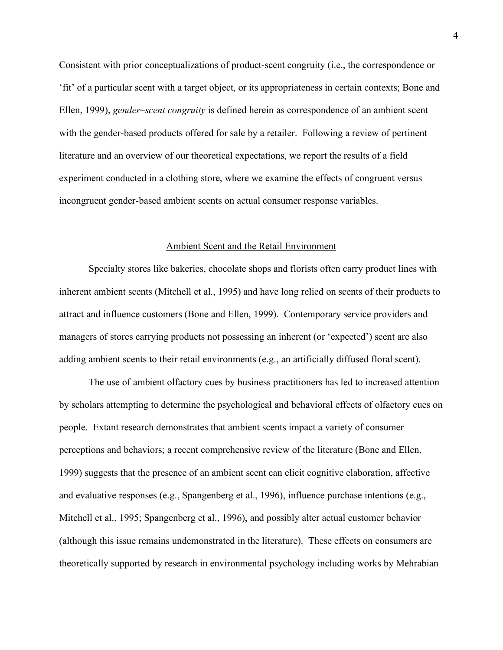Consistent with prior conceptualizations of product-scent congruity (i.e., the correspondence or 'fit' of a particular scent with a target object, or its appropriateness in certain contexts; Bone and Ellen, 1999), *gender–scent congruity* is defined herein as correspondence of an ambient scent with the gender-based products offered for sale by a retailer. Following a review of pertinent literature and an overview of our theoretical expectations, we report the results of a field experiment conducted in a clothing store, where we examine the effects of congruent versus incongruent gender-based ambient scents on actual consumer response variables.

## Ambient Scent and the Retail Environment

Specialty stores like bakeries, chocolate shops and florists often carry product lines with inherent ambient scents (Mitchell et al., 1995) and have long relied on scents of their products to attract and influence customers (Bone and Ellen, 1999). Contemporary service providers and managers of stores carrying products not possessing an inherent (or 'expected') scent are also adding ambient scents to their retail environments (e.g., an artificially diffused floral scent).

The use of ambient olfactory cues by business practitioners has led to increased attention by scholars attempting to determine the psychological and behavioral effects of olfactory cues on people. Extant research demonstrates that ambient scents impact a variety of consumer perceptions and behaviors; a recent comprehensive review of the literature (Bone and Ellen, 1999) suggests that the presence of an ambient scent can elicit cognitive elaboration, affective and evaluative responses (e.g., Spangenberg et al., 1996), influence purchase intentions (e.g., Mitchell et al., 1995; Spangenberg et al., 1996), and possibly alter actual customer behavior (although this issue remains undemonstrated in the literature). These effects on consumers are theoretically supported by research in environmental psychology including works by Mehrabian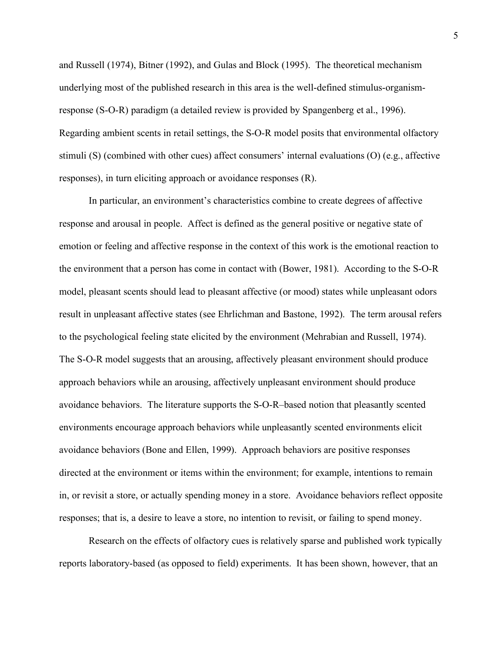and Russell (1974), Bitner (1992), and Gulas and Block (1995). The theoretical mechanism underlying most of the published research in this area is the well-defined stimulus-organismresponse (S-O-R) paradigm (a detailed review is provided by Spangenberg et al., 1996). Regarding ambient scents in retail settings, the S-O-R model posits that environmental olfactory stimuli (S) (combined with other cues) affect consumers' internal evaluations (O) (e.g., affective responses), in turn eliciting approach or avoidance responses (R).

In particular, an environment's characteristics combine to create degrees of affective response and arousal in people. Affect is defined as the general positive or negative state of emotion or feeling and affective response in the context of this work is the emotional reaction to the environment that a person has come in contact with (Bower, 1981). According to the S-O-R model, pleasant scents should lead to pleasant affective (or mood) states while unpleasant odors result in unpleasant affective states (see Ehrlichman and Bastone, 1992). The term arousal refers to the psychological feeling state elicited by the environment (Mehrabian and Russell, 1974). The S-O-R model suggests that an arousing, affectively pleasant environment should produce approach behaviors while an arousing, affectively unpleasant environment should produce avoidance behaviors. The literature supports the S-O-R–based notion that pleasantly scented environments encourage approach behaviors while unpleasantly scented environments elicit avoidance behaviors (Bone and Ellen, 1999). Approach behaviors are positive responses directed at the environment or items within the environment; for example, intentions to remain in, or revisit a store, or actually spending money in a store. Avoidance behaviors reflect opposite responses; that is, a desire to leave a store, no intention to revisit, or failing to spend money.

Research on the effects of olfactory cues is relatively sparse and published work typically reports laboratory-based (as opposed to field) experiments. It has been shown, however, that an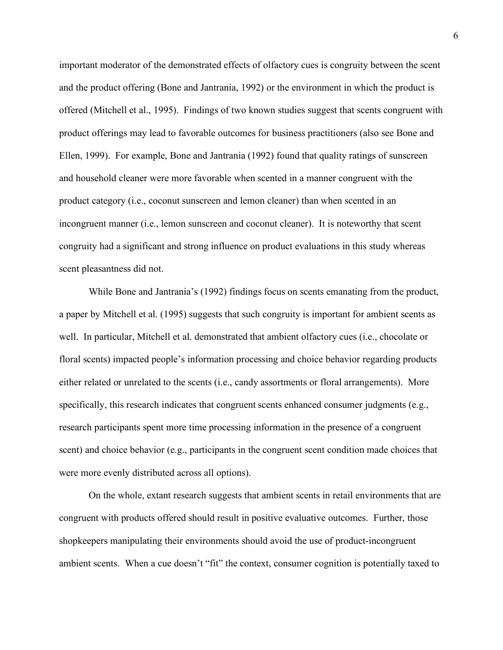important moderator of the demonstrated effects of olfactory cues is congruity between the scent and the product offering (Bone and Jantrania, 1992) or the environment in which the product is offered (Mitchell et al., 1995). Findings of two known studies suggest that scents congruent with product offerings may lead to favorable outcomes for business practitioners (also see Bone and Ellen, 1999). For example, Bone and Jantrania (1992) found that quality ratings of sunscreen and household cleaner were more favorable when scented in a manner congruent with the product category (i.e., coconut sunscreen and lemon cleaner) than when scented in an incongruent manner (i.e., lemon sunscreen and coconut cleaner). It is noteworthy that scent congruity had a significant and strong influence on product evaluations in this study whereas scent pleasantness did not.

While Bone and Jantrania's (1992) findings focus on scents emanating from the product, a paper by Mitchell et al. (1995) suggests that such congruity is important for ambient scents as well. In particular, Mitchell et al. demonstrated that ambient olfactory cues (i.e., chocolate or floral scents) impacted people's information processing and choice behavior regarding products either related or unrelated to the scents (i.e., candy assortments or floral arrangements). More specifically, this research indicates that congruent scents enhanced consumer judgments (e.g., research participants spent more time processing information in the presence of a congruent scent) and choice behavior (e.g., participants in the congruent scent condition made choices that were more evenly distributed across all options).

On the whole, extant research suggests that ambient scents in retail environments that are congruent with products offered should result in positive evaluative outcomes. Further, those shopkeepers manipulating their environments should avoid the use of product-incongruent ambient scents. When a cue doesn't "fit" the context, consumer cognition is potentially taxed to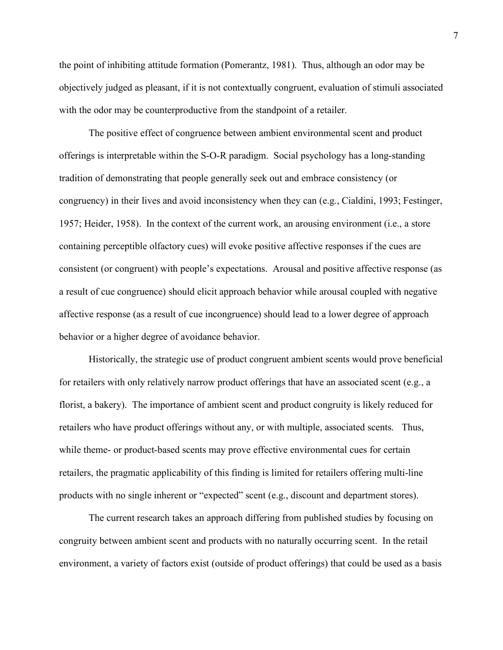the point of inhibiting attitude formation (Pomerantz, 1981). Thus, although an odor may be objectively judged as pleasant, if it is not contextually congruent, evaluation of stimuli associated with the odor may be counterproductive from the standpoint of a retailer.

The positive effect of congruence between ambient environmental scent and product offerings is interpretable within the S-O-R paradigm. Social psychology has a long-standing tradition of demonstrating that people generally seek out and embrace consistency (or congruency) in their lives and avoid inconsistency when they can (e.g., Cialdini, 1993; Festinger, 1957; Heider, 1958). In the context of the current work, an arousing environment (i.e., a store containing perceptible olfactory cues) will evoke positive affective responses if the cues are consistent (or congruent) with people's expectations. Arousal and positive affective response (as a result of cue congruence) should elicit approach behavior while arousal coupled with negative affective response (as a result of cue incongruence) should lead to a lower degree of approach behavior or a higher degree of avoidance behavior.

Historically, the strategic use of product congruent ambient scents would prove beneficial for retailers with only relatively narrow product offerings that have an associated scent (e.g., a florist, a bakery). The importance of ambient scent and product congruity is likely reduced for retailers who have product offerings without any, or with multiple, associated scents. Thus, while theme- or product-based scents may prove effective environmental cues for certain retailers, the pragmatic applicability of this finding is limited for retailers offering multi-line products with no single inherent or "expected" scent (e.g., discount and department stores).

The current research takes an approach differing from published studies by focusing on congruity between ambient scent and products with no naturally occurring scent. In the retail environment, a variety of factors exist (outside of product offerings) that could be used as a basis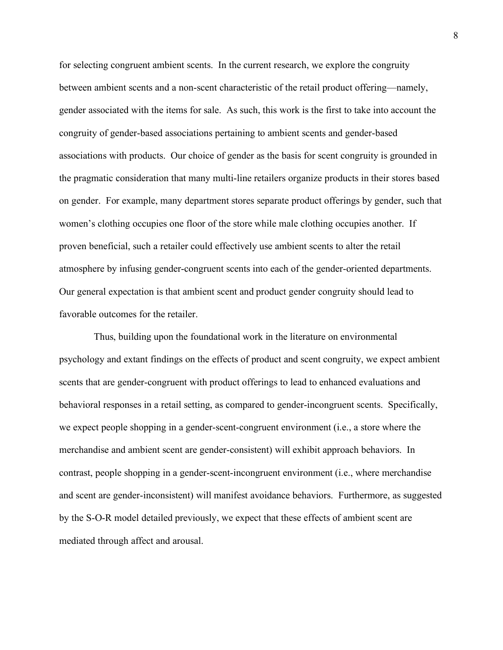for selecting congruent ambient scents. In the current research, we explore the congruity between ambient scents and a non-scent characteristic of the retail product offering—namely, gender associated with the items for sale. As such, this work is the first to take into account the congruity of gender-based associations pertaining to ambient scents and gender-based associations with products. Our choice of gender as the basis for scent congruity is grounded in the pragmatic consideration that many multi-line retailers organize products in their stores based on gender. For example, many department stores separate product offerings by gender, such that women's clothing occupies one floor of the store while male clothing occupies another. If proven beneficial, such a retailer could effectively use ambient scents to alter the retail atmosphere by infusing gender-congruent scents into each of the gender-oriented departments. Our general expectation is that ambient scent and product gender congruity should lead to favorable outcomes for the retailer.

Thus, building upon the foundational work in the literature on environmental psychology and extant findings on the effects of product and scent congruity, we expect ambient scents that are gender-congruent with product offerings to lead to enhanced evaluations and behavioral responses in a retail setting, as compared to gender-incongruent scents. Specifically, we expect people shopping in a gender-scent-congruent environment (i.e., a store where the merchandise and ambient scent are gender-consistent) will exhibit approach behaviors. In contrast, people shopping in a gender-scent-incongruent environment (i.e., where merchandise and scent are gender-inconsistent) will manifest avoidance behaviors. Furthermore, as suggested by the S-O-R model detailed previously, we expect that these effects of ambient scent are mediated through affect and arousal.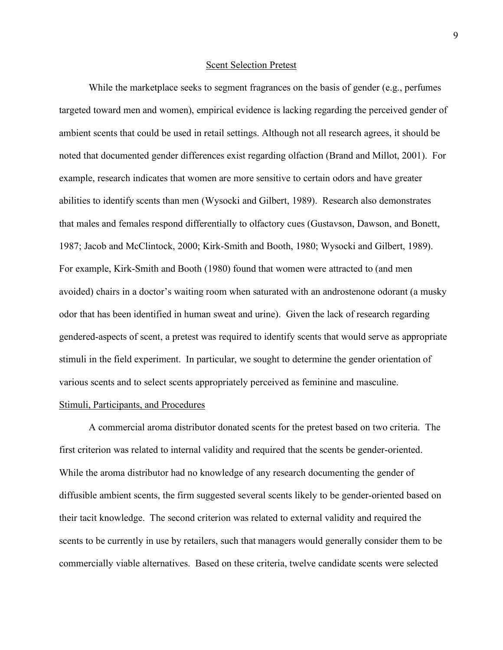## Scent Selection Pretest

While the marketplace seeks to segment fragrances on the basis of gender (e.g., perfumes targeted toward men and women), empirical evidence is lacking regarding the perceived gender of ambient scents that could be used in retail settings. Although not all research agrees, it should be noted that documented gender differences exist regarding olfaction (Brand and Millot, 2001). For example, research indicates that women are more sensitive to certain odors and have greater abilities to identify scents than men (Wysocki and Gilbert, 1989). Research also demonstrates that males and females respond differentially to olfactory cues (Gustavson, Dawson, and Bonett, 1987; Jacob and McClintock, 2000; Kirk-Smith and Booth, 1980; Wysocki and Gilbert, 1989). For example, Kirk-Smith and Booth (1980) found that women were attracted to (and men avoided) chairs in a doctor's waiting room when saturated with an androstenone odorant (a musky odor that has been identified in human sweat and urine). Given the lack of research regarding gendered-aspects of scent, a pretest was required to identify scents that would serve as appropriate stimuli in the field experiment. In particular, we sought to determine the gender orientation of various scents and to select scents appropriately perceived as feminine and masculine.

## Stimuli, Participants, and Procedures

A commercial aroma distributor donated scents for the pretest based on two criteria. The first criterion was related to internal validity and required that the scents be gender-oriented. While the aroma distributor had no knowledge of any research documenting the gender of diffusible ambient scents, the firm suggested several scents likely to be gender-oriented based on their tacit knowledge. The second criterion was related to external validity and required the scents to be currently in use by retailers, such that managers would generally consider them to be commercially viable alternatives. Based on these criteria, twelve candidate scents were selected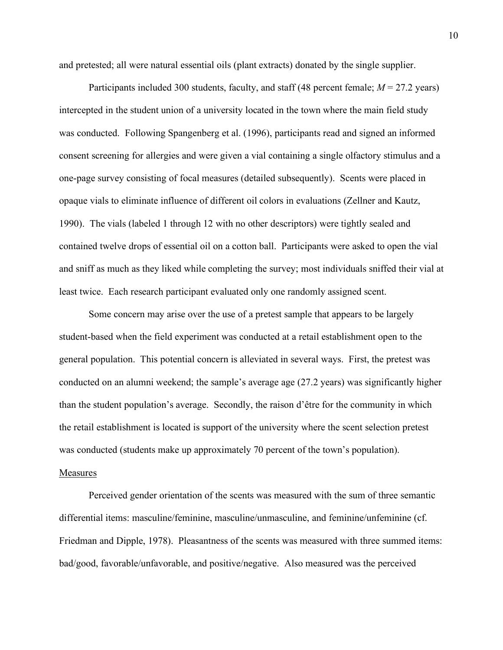and pretested; all were natural essential oils (plant extracts) donated by the single supplier.

Participants included 300 students, faculty, and staff (48 percent female; *M* = 27.2 years) intercepted in the student union of a university located in the town where the main field study was conducted. Following Spangenberg et al. (1996), participants read and signed an informed consent screening for allergies and were given a vial containing a single olfactory stimulus and a one-page survey consisting of focal measures (detailed subsequently). Scents were placed in opaque vials to eliminate influence of different oil colors in evaluations (Zellner and Kautz, 1990). The vials (labeled 1 through 12 with no other descriptors) were tightly sealed and contained twelve drops of essential oil on a cotton ball. Participants were asked to open the vial and sniff as much as they liked while completing the survey; most individuals sniffed their vial at least twice. Each research participant evaluated only one randomly assigned scent.

Some concern may arise over the use of a pretest sample that appears to be largely student-based when the field experiment was conducted at a retail establishment open to the general population. This potential concern is alleviated in several ways. First, the pretest was conducted on an alumni weekend; the sample's average age (27.2 years) was significantly higher than the student population's average. Secondly, the raison d'être for the community in which the retail establishment is located is support of the university where the scent selection pretest was conducted (students make up approximately 70 percent of the town's population).

## **Measures**

Perceived gender orientation of the scents was measured with the sum of three semantic differential items: masculine/feminine, masculine/unmasculine, and feminine/unfeminine (cf. Friedman and Dipple, 1978). Pleasantness of the scents was measured with three summed items: bad/good, favorable/unfavorable, and positive/negative. Also measured was the perceived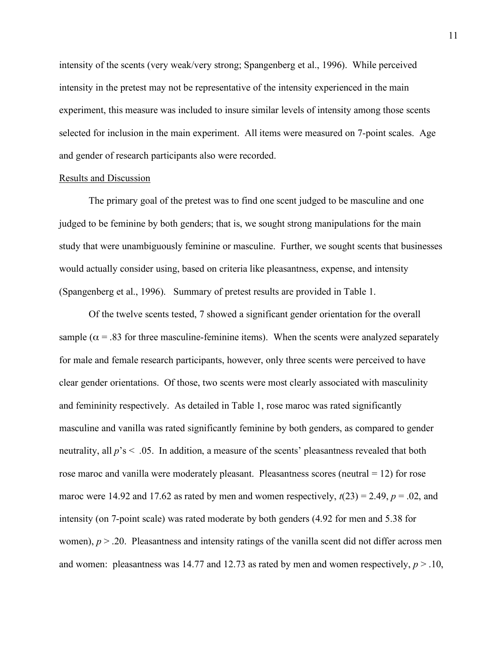intensity of the scents (very weak/very strong; Spangenberg et al., 1996). While perceived intensity in the pretest may not be representative of the intensity experienced in the main experiment, this measure was included to insure similar levels of intensity among those scents selected for inclusion in the main experiment. All items were measured on 7-point scales. Age and gender of research participants also were recorded.

### Results and Discussion

The primary goal of the pretest was to find one scent judged to be masculine and one judged to be feminine by both genders; that is, we sought strong manipulations for the main study that were unambiguously feminine or masculine. Further, we sought scents that businesses would actually consider using, based on criteria like pleasantness, expense, and intensity (Spangenberg et al., 1996). Summary of pretest results are provided in Table 1.

Of the twelve scents tested, 7 showed a significant gender orientation for the overall sample ( $\alpha$  = .83 for three masculine-feminine items). When the scents were analyzed separately for male and female research participants, however, only three scents were perceived to have clear gender orientations. Of those, two scents were most clearly associated with masculinity and femininity respectively. As detailed in Table 1, rose maroc was rated significantly masculine and vanilla was rated significantly feminine by both genders, as compared to gender neutrality, all  $p$ 's < .05. In addition, a measure of the scents' pleasantness revealed that both rose maroc and vanilla were moderately pleasant. Pleasantness scores (neutral = 12) for rose maroc were 14.92 and 17.62 as rated by men and women respectively,  $t(23) = 2.49$ ,  $p = .02$ , and intensity (on 7-point scale) was rated moderate by both genders (4.92 for men and 5.38 for women),  $p > 0.20$ . Pleasantness and intensity ratings of the vanilla scent did not differ across men and women: pleasantness was 14.77 and 12.73 as rated by men and women respectively,  $p > 0.10$ ,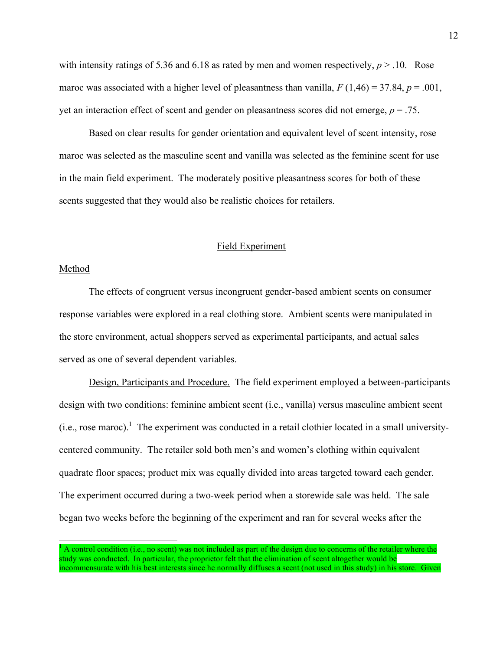with intensity ratings of 5.36 and 6.18 as rated by men and women respectively,  $p > 0.10$ . Rose maroc was associated with a higher level of pleasantness than vanilla,  $F(1,46) = 37.84$ ,  $p = .001$ , yet an interaction effect of scent and gender on pleasantness scores did not emerge, *p* = .75.

Based on clear results for gender orientation and equivalent level of scent intensity, rose maroc was selected as the masculine scent and vanilla was selected as the feminine scent for use in the main field experiment. The moderately positive pleasantness scores for both of these scents suggested that they would also be realistic choices for retailers.

## Field Experiment

## Method

The effects of congruent versus incongruent gender-based ambient scents on consumer response variables were explored in a real clothing store. Ambient scents were manipulated in the store environment, actual shoppers served as experimental participants, and actual sales served as one of several dependent variables.

Design, Participants and Procedure. The field experiment employed a between-participants design with two conditions: feminine ambient scent (i.e., vanilla) versus masculine ambient scent  $(i.e., rose macro).$ <sup>1</sup> The experiment was conducted in a retail clothier located in a small universitycentered community. The retailer sold both men's and women's clothing within equivalent quadrate floor spaces; product mix was equally divided into areas targeted toward each gender. The experiment occurred during a two-week period when a storewide sale was held. The sale began two weeks before the beginning of the experiment and ran for several weeks after the

<sup>1</sup> <sup>A</sup> control condition (i.e., no scent) was not included as part of the design due to concerns of the retailer where the study was conducted. In particular, the proprietor felt that the elimination of scent altogether would be incommensurate with his best interests since he normally diffuses a scent (not used in this study) in his store. Given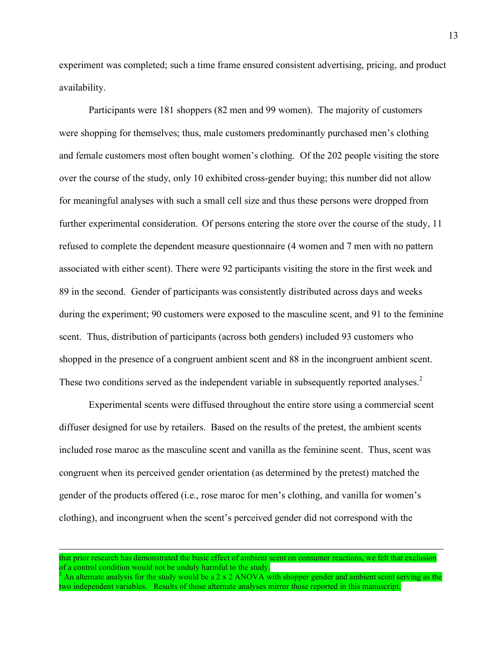experiment was completed; such a time frame ensured consistent advertising, pricing, and product availability.

Participants were 181 shoppers (82 men and 99 women). The majority of customers were shopping for themselves; thus, male customers predominantly purchased men's clothing and female customers most often bought women's clothing. Of the 202 people visiting the store over the course of the study, only 10 exhibited cross-gender buying; this number did not allow for meaningful analyses with such a small cell size and thus these persons were dropped from further experimental consideration. Of persons entering the store over the course of the study, 11 refused to complete the dependent measure questionnaire (4 women and 7 men with no pattern associated with either scent). There were 92 participants visiting the store in the first week and 89 in the second. Gender of participants was consistently distributed across days and weeks during the experiment; 90 customers were exposed to the masculine scent, and 91 to the feminine scent. Thus, distribution of participants (across both genders) included 93 customers who shopped in the presence of a congruent ambient scent and 88 in the incongruent ambient scent. These two conditions served as the independent variable in subsequently reported analyses.<sup>2</sup>

Experimental scents were diffused throughout the entire store using a commercial scent diffuser designed for use by retailers. Based on the results of the pretest, the ambient scents included rose maroc as the masculine scent and vanilla as the feminine scent. Thus, scent was congruent when its perceived gender orientation (as determined by the pretest) matched the gender of the products offered (i.e., rose maroc for men's clothing, and vanilla for women's clothing), and incongruent when the scent's perceived gender did not correspond with the

l

that prior research has demonstrated the basic effect of ambient scent on consumer reactions, we felt that exclusion of a control condition would not be unduly harmful to the study.

An alternate analysis for the study would be a 2 x 2 ANOVA with shopper gender and ambient scent serving as the two independent variables. Results of those alternate analyses mirror those reported in this manuscript.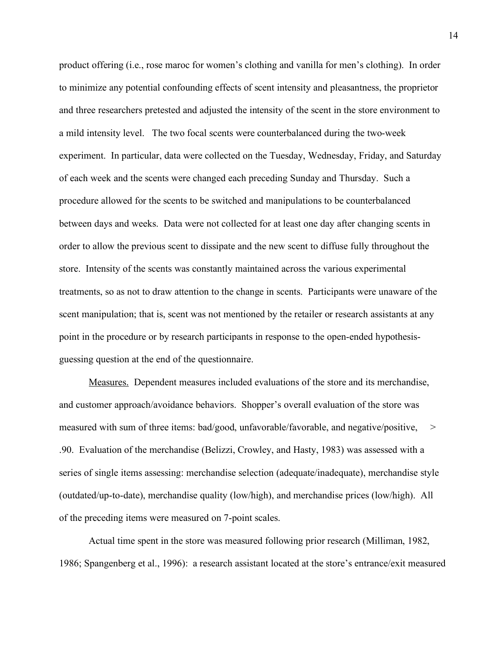product offering (i.e., rose maroc for women's clothing and vanilla for men's clothing). In order to minimize any potential confounding effects of scent intensity and pleasantness, the proprietor and three researchers pretested and adjusted the intensity of the scent in the store environment to a mild intensity level. The two focal scents were counterbalanced during the two-week experiment. In particular, data were collected on the Tuesday, Wednesday, Friday, and Saturday of each week and the scents were changed each preceding Sunday and Thursday. Such a procedure allowed for the scents to be switched and manipulations to be counterbalanced between days and weeks. Data were not collected for at least one day after changing scents in order to allow the previous scent to dissipate and the new scent to diffuse fully throughout the store. Intensity of the scents was constantly maintained across the various experimental treatments, so as not to draw attention to the change in scents. Participants were unaware of the scent manipulation; that is, scent was not mentioned by the retailer or research assistants at any point in the procedure or by research participants in response to the open-ended hypothesisguessing question at the end of the questionnaire.

Measures. Dependent measures included evaluations of the store and its merchandise, and customer approach/avoidance behaviors. Shopper's overall evaluation of the store was measured with sum of three items: bad/good, unfavorable/favorable, and negative/positive,  $\geq$ .90. Evaluation of the merchandise (Belizzi, Crowley, and Hasty, 1983) was assessed with a series of single items assessing: merchandise selection (adequate/inadequate), merchandise style (outdated/up-to-date), merchandise quality (low/high), and merchandise prices (low/high). All of the preceding items were measured on 7-point scales.

Actual time spent in the store was measured following prior research (Milliman, 1982, 1986; Spangenberg et al., 1996): a research assistant located at the store's entrance/exit measured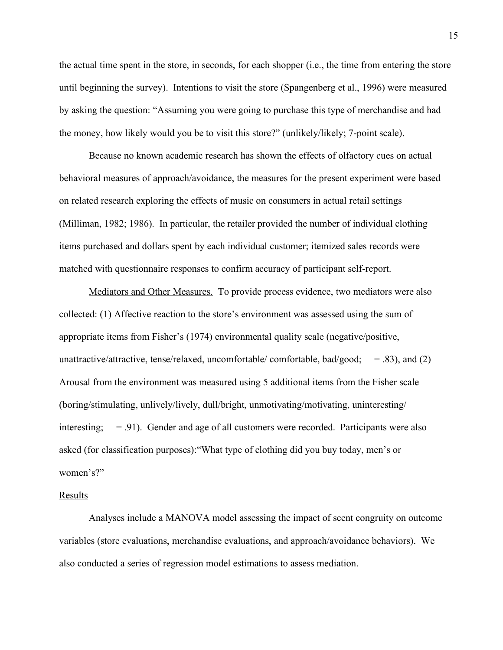the actual time spent in the store, in seconds, for each shopper (i.e., the time from entering the store until beginning the survey). Intentions to visit the store (Spangenberg et al., 1996) were measured by asking the question: "Assuming you were going to purchase this type of merchandise and had the money, how likely would you be to visit this store?" (unlikely/likely; 7-point scale).

Because no known academic research has shown the effects of olfactory cues on actual behavioral measures of approach/avoidance, the measures for the present experiment were based on related research exploring the effects of music on consumers in actual retail settings (Milliman, 1982; 1986). In particular, the retailer provided the number of individual clothing items purchased and dollars spent by each individual customer; itemized sales records were matched with questionnaire responses to confirm accuracy of participant self-report.

Mediators and Other Measures. To provide process evidence, two mediators were also collected: (1) Affective reaction to the store's environment was assessed using the sum of appropriate items from Fisher's (1974) environmental quality scale (negative/positive, unattractive/attractive, tense/relaxed, uncomfortable/ comfortable, bad/good;  $=$  .83), and (2) Arousal from the environment was measured using 5 additional items from the Fisher scale (boring/stimulating, unlively/lively, dull/bright, unmotivating/motivating, uninteresting/ interesting;  $= .91$ ). Gender and age of all customers were recorded. Participants were also asked (for classification purposes):"What type of clothing did you buy today, men's or women's?"

## Results

Analyses include a MANOVA model assessing the impact of scent congruity on outcome variables (store evaluations, merchandise evaluations, and approach/avoidance behaviors). We also conducted a series of regression model estimations to assess mediation.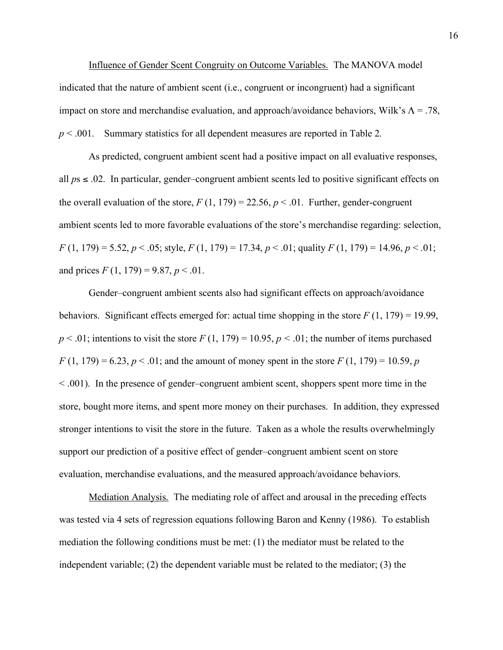Influence of Gender Scent Congruity on Outcome Variables. The MANOVA model indicated that the nature of ambient scent (i.e., congruent or incongruent) had a significant impact on store and merchandise evaluation, and approach/avoidance behaviors, Wilk's  $\Lambda = .78$ , *p* < .001. Summary statistics for all dependent measures are reported in Table 2.

As predicted, congruent ambient scent had a positive impact on all evaluative responses, all  $ps \leq 0.02$ . In particular, gender–congruent ambient scents led to positive significant effects on the overall evaluation of the store,  $F(1, 179) = 22.56$ ,  $p < .01$ . Further, gender-congruent ambient scents led to more favorable evaluations of the store's merchandise regarding: selection, *F* (1, 179) = 5.52, *p* < .05; style, *F* (1, 179) = 17.34, *p* < .01; quality *F* (1, 179) = 14.96, *p* < .01; and prices  $F(1, 179) = 9.87, p < 0.01$ .

Gender–congruent ambient scents also had significant effects on approach/avoidance behaviors. Significant effects emerged for: actual time shopping in the store  $F(1, 179) = 19.99$ ,  $p < .01$ ; intentions to visit the store  $F(1, 179) = 10.95$ ,  $p < .01$ ; the number of items purchased  $F(1, 179) = 6.23, p < .01$ ; and the amount of money spent in the store  $F(1, 179) = 10.59, p$ < .001). In the presence of gender–congruent ambient scent, shoppers spent more time in the store, bought more items, and spent more money on their purchases. In addition, they expressed stronger intentions to visit the store in the future. Taken as a whole the results overwhelmingly support our prediction of a positive effect of gender–congruent ambient scent on store evaluation, merchandise evaluations, and the measured approach/avoidance behaviors.

Mediation Analysis. The mediating role of affect and arousal in the preceding effects was tested via 4 sets of regression equations following Baron and Kenny (1986). To establish mediation the following conditions must be met: (1) the mediator must be related to the independent variable; (2) the dependent variable must be related to the mediator; (3) the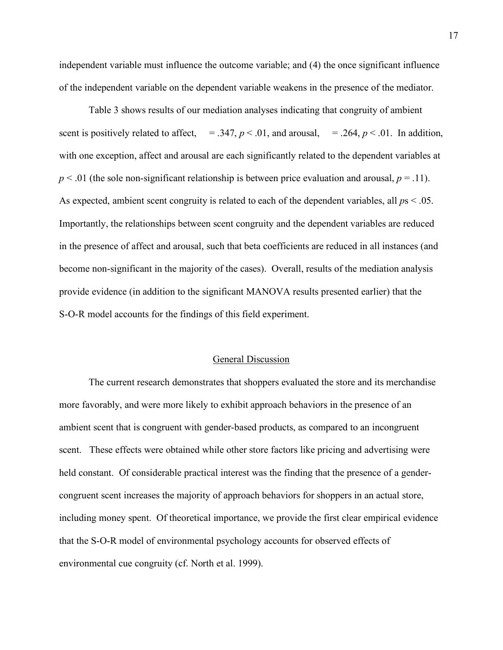independent variable must influence the outcome variable; and (4) the once significant influence of the independent variable on the dependent variable weakens in the presence of the mediator.

Table 3 shows results of our mediation analyses indicating that congruity of ambient scent is positively related to affect,  $= .347, p < .01,$  and arousal,  $= .264, p < .01$ . In addition, with one exception, affect and arousal are each significantly related to the dependent variables at  $p < 0.01$  (the sole non-significant relationship is between price evaluation and arousal,  $p = 0.11$ ). As expected, ambient scent congruity is related to each of the dependent variables, all *p*s < .05. Importantly, the relationships between scent congruity and the dependent variables are reduced in the presence of affect and arousal, such that beta coefficients are reduced in all instances (and become non-significant in the majority of the cases). Overall, results of the mediation analysis provide evidence (in addition to the significant MANOVA results presented earlier) that the S-O-R model accounts for the findings of this field experiment.

#### General Discussion

The current research demonstrates that shoppers evaluated the store and its merchandise more favorably, and were more likely to exhibit approach behaviors in the presence of an ambient scent that is congruent with gender-based products, as compared to an incongruent scent. These effects were obtained while other store factors like pricing and advertising were held constant. Of considerable practical interest was the finding that the presence of a gendercongruent scent increases the majority of approach behaviors for shoppers in an actual store, including money spent. Of theoretical importance, we provide the first clear empirical evidence that the S-O-R model of environmental psychology accounts for observed effects of environmental cue congruity (cf. North et al. 1999).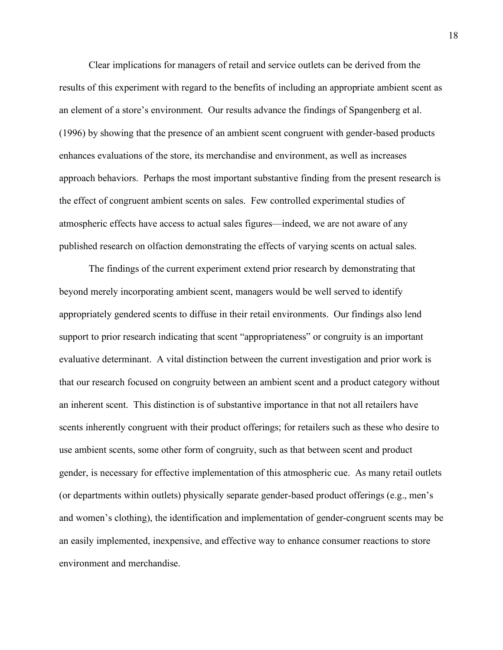Clear implications for managers of retail and service outlets can be derived from the results of this experiment with regard to the benefits of including an appropriate ambient scent as an element of a store's environment. Our results advance the findings of Spangenberg et al. (1996) by showing that the presence of an ambient scent congruent with gender-based products enhances evaluations of the store, its merchandise and environment, as well as increases approach behaviors. Perhaps the most important substantive finding from the present research is the effect of congruent ambient scents on sales. Few controlled experimental studies of atmospheric effects have access to actual sales figures—indeed, we are not aware of any published research on olfaction demonstrating the effects of varying scents on actual sales.

The findings of the current experiment extend prior research by demonstrating that beyond merely incorporating ambient scent, managers would be well served to identify appropriately gendered scents to diffuse in their retail environments. Our findings also lend support to prior research indicating that scent "appropriateness" or congruity is an important evaluative determinant. A vital distinction between the current investigation and prior work is that our research focused on congruity between an ambient scent and a product category without an inherent scent. This distinction is of substantive importance in that not all retailers have scents inherently congruent with their product offerings; for retailers such as these who desire to use ambient scents, some other form of congruity, such as that between scent and product gender, is necessary for effective implementation of this atmospheric cue. As many retail outlets (or departments within outlets) physically separate gender-based product offerings (e.g., men's and women's clothing), the identification and implementation of gender-congruent scents may be an easily implemented, inexpensive, and effective way to enhance consumer reactions to store environment and merchandise.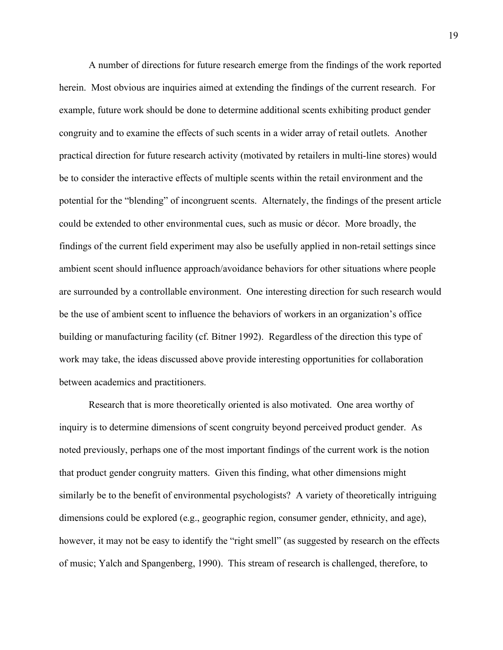A number of directions for future research emerge from the findings of the work reported herein. Most obvious are inquiries aimed at extending the findings of the current research. For example, future work should be done to determine additional scents exhibiting product gender congruity and to examine the effects of such scents in a wider array of retail outlets. Another practical direction for future research activity (motivated by retailers in multi-line stores) would be to consider the interactive effects of multiple scents within the retail environment and the potential for the "blending" of incongruent scents. Alternately, the findings of the present article could be extended to other environmental cues, such as music or décor. More broadly, the findings of the current field experiment may also be usefully applied in non-retail settings since ambient scent should influence approach/avoidance behaviors for other situations where people are surrounded by a controllable environment. One interesting direction for such research would be the use of ambient scent to influence the behaviors of workers in an organization's office building or manufacturing facility (cf. Bitner 1992). Regardless of the direction this type of work may take, the ideas discussed above provide interesting opportunities for collaboration between academics and practitioners.

Research that is more theoretically oriented is also motivated. One area worthy of inquiry is to determine dimensions of scent congruity beyond perceived product gender. As noted previously, perhaps one of the most important findings of the current work is the notion that product gender congruity matters. Given this finding, what other dimensions might similarly be to the benefit of environmental psychologists? A variety of theoretically intriguing dimensions could be explored (e.g., geographic region, consumer gender, ethnicity, and age), however, it may not be easy to identify the "right smell" (as suggested by research on the effects of music; Yalch and Spangenberg, 1990). This stream of research is challenged, therefore, to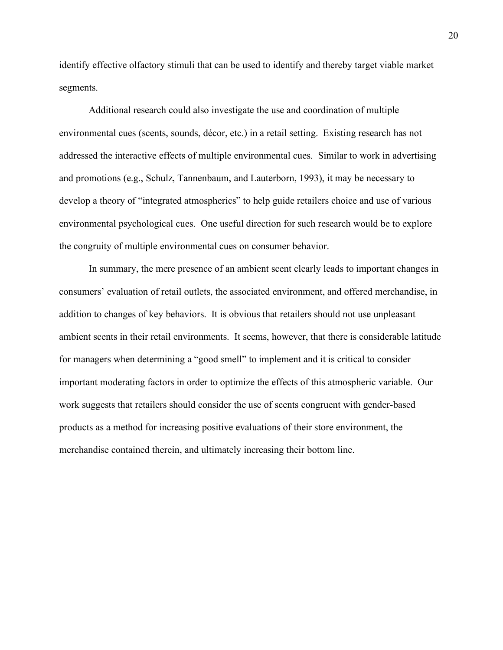identify effective olfactory stimuli that can be used to identify and thereby target viable market segments.

Additional research could also investigate the use and coordination of multiple environmental cues (scents, sounds, décor, etc.) in a retail setting. Existing research has not addressed the interactive effects of multiple environmental cues. Similar to work in advertising and promotions (e.g., Schulz, Tannenbaum, and Lauterborn, 1993), it may be necessary to develop a theory of "integrated atmospherics" to help guide retailers choice and use of various environmental psychological cues. One useful direction for such research would be to explore the congruity of multiple environmental cues on consumer behavior.

In summary, the mere presence of an ambient scent clearly leads to important changes in consumers' evaluation of retail outlets, the associated environment, and offered merchandise, in addition to changes of key behaviors. It is obvious that retailers should not use unpleasant ambient scents in their retail environments. It seems, however, that there is considerable latitude for managers when determining a "good smell" to implement and it is critical to consider important moderating factors in order to optimize the effects of this atmospheric variable. Our work suggests that retailers should consider the use of scents congruent with gender-based products as a method for increasing positive evaluations of their store environment, the merchandise contained therein, and ultimately increasing their bottom line.

20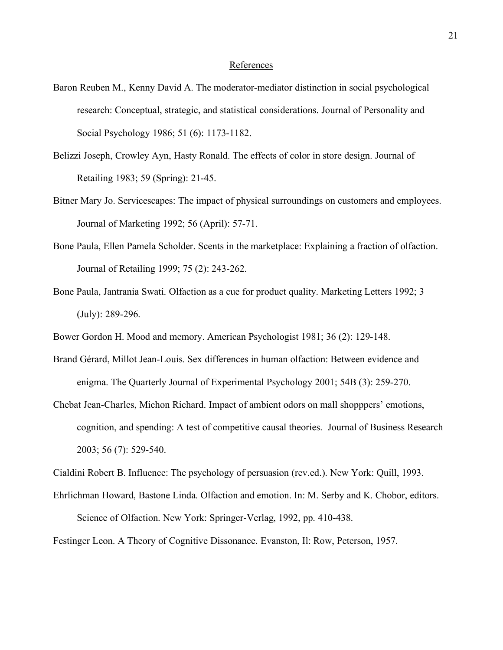## References

- Baron Reuben M., Kenny David A. The moderator-mediator distinction in social psychological research: Conceptual, strategic, and statistical considerations. Journal of Personality and Social Psychology 1986; 51 (6): 1173-1182.
- Belizzi Joseph, Crowley Ayn, Hasty Ronald. The effects of color in store design. Journal of Retailing 1983; 59 (Spring): 21-45.
- Bitner Mary Jo. Servicescapes: The impact of physical surroundings on customers and employees. Journal of Marketing 1992; 56 (April): 57-71.
- Bone Paula, Ellen Pamela Scholder. Scents in the marketplace: Explaining a fraction of olfaction. Journal of Retailing 1999; 75 (2): 243-262.
- Bone Paula, Jantrania Swati. Olfaction as a cue for product quality. Marketing Letters 1992; 3 (July): 289-296.
- Bower Gordon H. Mood and memory. American Psychologist 1981; 36 (2): 129-148.
- Brand Gérard, Millot Jean-Louis. Sex differences in human olfaction: Between evidence and enigma. The Quarterly Journal of Experimental Psychology 2001; 54B (3): 259-270.
- Chebat Jean-Charles, Michon Richard. Impact of ambient odors on mall shopppers' emotions, cognition, and spending: A test of competitive causal theories. Journal of Business Research 2003; 56 (7): 529-540.

Cialdini Robert B. Influence: The psychology of persuasion (rev.ed.). New York: Quill, 1993.

Ehrlichman Howard, Bastone Linda. Olfaction and emotion. In: M. Serby and K. Chobor, editors. Science of Olfaction. New York: Springer-Verlag, 1992, pp. 410-438.

Festinger Leon. A Theory of Cognitive Dissonance. Evanston, Il: Row, Peterson, 1957.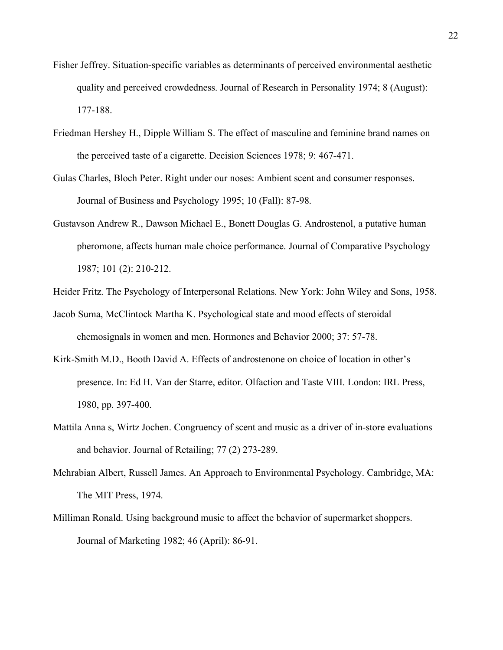- Fisher Jeffrey. Situation-specific variables as determinants of perceived environmental aesthetic quality and perceived crowdedness. Journal of Research in Personality 1974; 8 (August): 177-188.
- Friedman Hershey H., Dipple William S. The effect of masculine and feminine brand names on the perceived taste of a cigarette. Decision Sciences 1978; 9: 467-471.
- Gulas Charles, Bloch Peter. Right under our noses: Ambient scent and consumer responses. Journal of Business and Psychology 1995; 10 (Fall): 87-98.
- Gustavson Andrew R., Dawson Michael E., Bonett Douglas G. Androstenol, a putative human pheromone, affects human male choice performance. Journal of Comparative Psychology 1987; 101 (2): 210-212.
- Heider Fritz. The Psychology of Interpersonal Relations. New York: John Wiley and Sons, 1958.
- Jacob Suma, McClintock Martha K. Psychological state and mood effects of steroidal chemosignals in women and men. Hormones and Behavior 2000; 37: 57-78.
- Kirk-Smith M.D., Booth David A. Effects of androstenone on choice of location in other's presence. In: Ed H. Van der Starre, editor. Olfaction and Taste VIII. London: IRL Press, 1980, pp. 397-400.
- Mattila Anna s, Wirtz Jochen. Congruency of scent and music as a driver of in-store evaluations and behavior. Journal of Retailing; 77 (2) 273-289.
- Mehrabian Albert, Russell James. An Approach to Environmental Psychology. Cambridge, MA: The MIT Press, 1974.
- Milliman Ronald. Using background music to affect the behavior of supermarket shoppers. Journal of Marketing 1982; 46 (April): 86-91.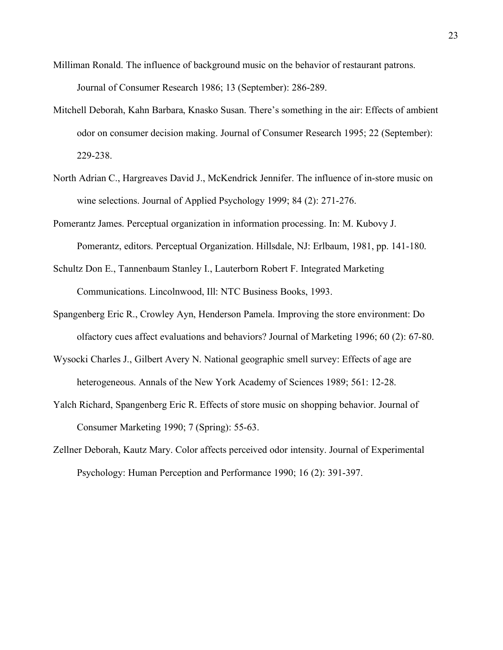- Milliman Ronald. The influence of background music on the behavior of restaurant patrons. Journal of Consumer Research 1986; 13 (September): 286-289.
- Mitchell Deborah, Kahn Barbara, Knasko Susan. There's something in the air: Effects of ambient odor on consumer decision making. Journal of Consumer Research 1995; 22 (September): 229-238.
- North Adrian C., Hargreaves David J., McKendrick Jennifer. The influence of in-store music on wine selections. Journal of Applied Psychology 1999; 84 (2): 271-276.
- Pomerantz James. Perceptual organization in information processing. In: M. Kubovy J. Pomerantz, editors. Perceptual Organization. Hillsdale, NJ: Erlbaum, 1981, pp. 141-180.
- Schultz Don E., Tannenbaum Stanley I., Lauterborn Robert F. Integrated Marketing Communications. Lincolnwood, Ill: NTC Business Books, 1993.
- Spangenberg Eric R., Crowley Ayn, Henderson Pamela. Improving the store environment: Do olfactory cues affect evaluations and behaviors? Journal of Marketing 1996; 60 (2): 67-80.
- Wysocki Charles J., Gilbert Avery N. National geographic smell survey: Effects of age are heterogeneous. Annals of the New York Academy of Sciences 1989; 561: 12-28.
- Yalch Richard, Spangenberg Eric R. Effects of store music on shopping behavior. Journal of Consumer Marketing 1990; 7 (Spring): 55-63.
- Zellner Deborah, Kautz Mary. Color affects perceived odor intensity. Journal of Experimental Psychology: Human Perception and Performance 1990; 16 (2): 391-397.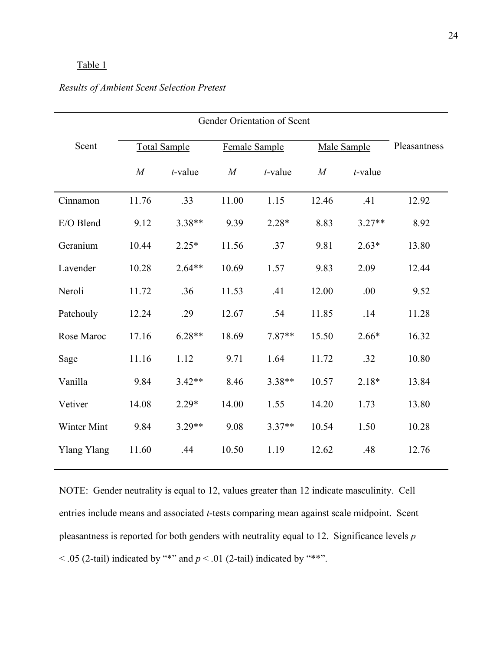## Table 1

| Scent       | <b>Total Sample</b> |            | Female Sample  |            | Male Sample |            | Pleasantness |
|-------------|---------------------|------------|----------------|------------|-------------|------------|--------------|
|             | M                   | $t$ -value | $\overline{M}$ | $t$ -value | M           | $t$ -value |              |
| Cinnamon    | 11.76               | .33        | 11.00          | 1.15       | 12.46       | .41        | 12.92        |
| E/O Blend   | 9.12                | $3.38**$   | 9.39           | $2.28*$    | 8.83        | $3.27**$   | 8.92         |
| Geranium    | 10.44               | $2.25*$    | 11.56          | .37        | 9.81        | $2.63*$    | 13.80        |
| Lavender    | 10.28               | $2.64**$   | 10.69          | 1.57       | 9.83        | 2.09       | 12.44        |
| Neroli      | 11.72               | .36        | 11.53          | .41        | 12.00       | .00        | 9.52         |
| Patchouly   | 12.24               | .29        | 12.67          | .54        | 11.85       | .14        | 11.28        |
| Rose Maroc  | 17.16               | $6.28**$   | 18.69          | $7.87**$   | 15.50       | $2.66*$    | 16.32        |
| Sage        | 11.16               | 1.12       | 9.71           | 1.64       | 11.72       | .32        | 10.80        |
| Vanilla     | 9.84                | $3.42**$   | 8.46           | $3.38**$   | 10.57       | $2.18*$    | 13.84        |
| Vetiver     | 14.08               | $2.29*$    | 14.00          | 1.55       | 14.20       | 1.73       | 13.80        |
| Winter Mint | 9.84                | $3.29**$   | 9.08           | $3.37**$   | 10.54       | 1.50       | 10.28        |
| Ylang Ylang | 11.60               | .44        | 10.50          | 1.19       | 12.62       | .48        | 12.76        |

## *Results of Ambient Scent Selection Pretest*

NOTE: Gender neutrality is equal to 12, values greater than 12 indicate masculinity. Cell entries include means and associated *t*-tests comparing mean against scale midpoint. Scent pleasantness is reported for both genders with neutrality equal to 12. Significance levels *p*  $<$  .05 (2-tail) indicated by "\*" and  $p <$  .01 (2-tail) indicated by "\*\*".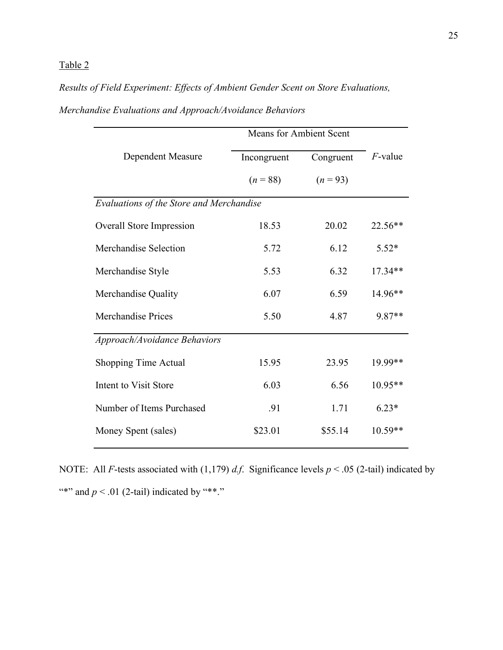# Table 2

# *Results of Field Experiment: Effects of Ambient Gender Scent on Store Evaluations,*

|                                          | <b>Means for Ambient Scent</b> |            |            |  |  |  |  |
|------------------------------------------|--------------------------------|------------|------------|--|--|--|--|
| Dependent Measure                        | Incongruent                    | Congruent  | $F$ -value |  |  |  |  |
|                                          | $(n = 88)$                     | $(n = 93)$ |            |  |  |  |  |
| Evaluations of the Store and Merchandise |                                |            |            |  |  |  |  |
| Overall Store Impression                 | 18.53                          | 20.02      | 22.56**    |  |  |  |  |
| Merchandise Selection                    | 5.72                           | 6.12       | $5.52*$    |  |  |  |  |
| Merchandise Style                        | 5.53                           | 6.32       | 17.34**    |  |  |  |  |
| Merchandise Quality                      | 6.07                           | 6.59       | 14.96**    |  |  |  |  |
| <b>Merchandise Prices</b>                | 5.50                           | 4.87       | 9.87**     |  |  |  |  |
| Approach/Avoidance Behaviors             |                                |            |            |  |  |  |  |
| <b>Shopping Time Actual</b>              | 15.95                          | 23.95      | 19.99**    |  |  |  |  |
| Intent to Visit Store                    | 6.03                           | 6.56       | 10.95**    |  |  |  |  |
| Number of Items Purchased                | .91                            | 1.71       | $6.23*$    |  |  |  |  |
| Money Spent (sales)                      | \$23.01                        | \$55.14    | $10.59**$  |  |  |  |  |

# *Merchandise Evaluations and Approach/Avoidance Behaviors*

NOTE: All *F*-tests associated with (1,179) *d.f*. Significance levels *p* < .05 (2-tail) indicated by "\*" and  $p < 0.01$  (2-tail) indicated by "\*\*."